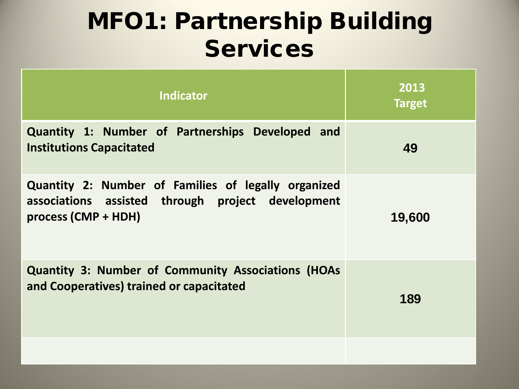## MFO1: Partnership Building Services

| <b>Indicator</b>                                                                                                                | 2013<br><b>Target</b> |
|---------------------------------------------------------------------------------------------------------------------------------|-----------------------|
| Quantity 1: Number of Partnerships Developed and<br><b>Institutions Capacitated</b>                                             | 49                    |
| Quantity 2: Number of Families of legally organized<br>associations assisted through project development<br>process (CMP + HDH) | 19,600                |
| <b>Quantity 3: Number of Community Associations (HOAs</b><br>and Cooperatives) trained or capacitated                           | 189                   |
|                                                                                                                                 |                       |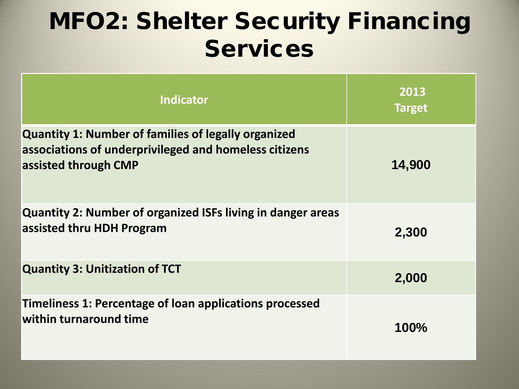## MFO2: Shelter Security Financing Services

| <b>Indicator</b>                                                                                                                            | 2013<br><b>Target</b> |
|---------------------------------------------------------------------------------------------------------------------------------------------|-----------------------|
| <b>Quantity 1: Number of families of legally organized</b><br>associations of underprivileged and homeless citizens<br>assisted through CMP | 14,900                |
| Quantity 2: Number of organized ISFs living in danger areas<br>assisted thru HDH Program                                                    | 2,300                 |
| <b>Quantity 3: Unitization of TCT</b>                                                                                                       | 2,000                 |
| Timeliness 1: Percentage of loan applications processed<br>within turnaround time                                                           | 100%                  |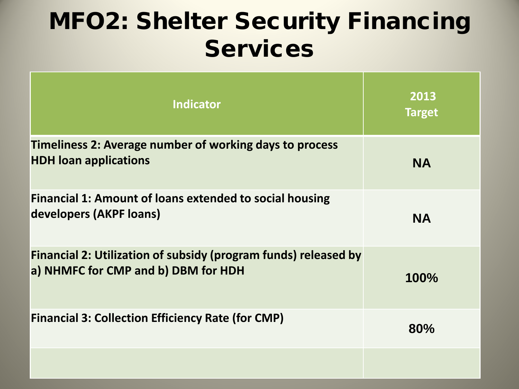## MFO2: Shelter Security Financing **Services**

| <b>Indicator</b>                                                                                       | 2013<br><b>Target</b> |
|--------------------------------------------------------------------------------------------------------|-----------------------|
| Timeliness 2: Average number of working days to process<br><b>HDH loan applications</b>                | <b>NA</b>             |
| Financial 1: Amount of loans extended to social housing<br>developers (AKPF loans)                     | <b>NA</b>             |
| Financial 2: Utilization of subsidy (program funds) released by<br>a) NHMFC for CMP and b) DBM for HDH | 100%                  |
| <b>Financial 3: Collection Efficiency Rate (for CMP)</b>                                               | 80%                   |
|                                                                                                        |                       |